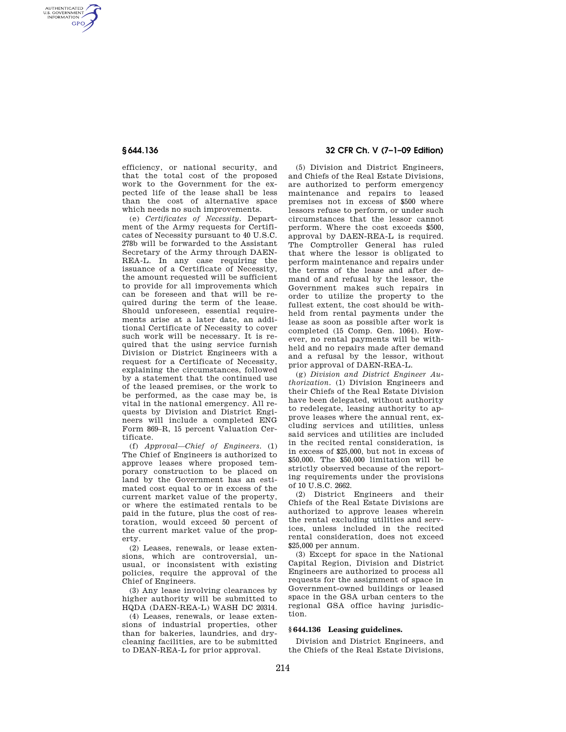AUTHENTICATED<br>U.S. GOVERNMENT<br>INFORMATION **GPO** 

> efficiency, or national security, and that the total cost of the proposed work to the Government for the expected life of the lease shall be less than the cost of alternative space which needs no such improvements.

(e) *Certificates of Necessity.* Department of the Army requests for Certificates of Necessity pursuant to 40 U.S.C. 278b will be forwarded to the Assistant Secretary of the Army through DAEN-REA-L. In any case requiring the issuance of a Certificate of Necessity, the amount requested will be sufficient to provide for all improvements which can be foreseen and that will be required during the term of the lease. Should unforeseen, essential requirements arise at a later date, an additional Certificate of Necessity to cover such work will be necessary. It is required that the using service furnish Division or District Engineers with a request for a Certificate of Necessity, explaining the circumstances, followed by a statement that the continued use of the leased premises, or the work to be performed, as the case may be, is vital in the national emergency. All requests by Division and District Engineers will include a completed ENG Form 869–R, 15 percent Valuation Certificate.

(f) *Approval—Chief of Engineers.* (1) The Chief of Engineers is authorized to approve leases where proposed temporary construction to be placed on land by the Government has an estimated cost equal to or in excess of the current market value of the property, or where the estimated rentals to be paid in the future, plus the cost of restoration, would exceed 50 percent of the current market value of the property.

(2) Leases, renewals, or lease extensions, which are controversial, unusual, or inconsistent with existing policies, require the approval of the Chief of Engineers.

(3) Any lease involving clearances by higher authority will be submitted to HQDA (DAEN-REA-L) WASH DC 20314.

(4) Leases, renewals, or lease extensions of industrial properties, other than for bakeries, laundries, and drycleaning facilities, are to be submitted to DEAN-REA-L for prior approval.

# **§ 644.136 32 CFR Ch. V (7–1–09 Edition)**

(5) Division and District Engineers, and Chiefs of the Real Estate Divisions, are authorized to perform emergency maintenance and repairs to leased premises not in excess of \$500 where lessors refuse to perform, or under such circumstances that the lessor cannot perform. Where the cost exceeds \$500, approval by DAEN-REA-L is required. The Comptroller General has ruled that where the lessor is obligated to perform maintenance and repairs under the terms of the lease and after demand of and refusal by the lessor, the Government makes such repairs in order to utilize the property to the fullest extent, the cost should be withheld from rental payments under the lease as soon as possible after work is completed (15 Comp. Gen. 1064). However, no rental payments will be withheld and no repairs made after demand and a refusal by the lessor, without prior approval of DAEN-REA-L.

(g) *Division and District Engineer Authorization.* (1) Division Engineers and their Chiefs of the Real Estate Division have been delegated, without authority to redelegate, leasing authority to approve leases where the annual rent, excluding services and utilities, unless said services and utilities are included in the recited rental consideration, is in excess of \$25,000, but not in excess of \$50,000. The \$50,000 limitation will be strictly observed because of the reporting requirements under the provisions of 10 U.S.C. 2662.

(2) District Engineers and their Chiefs of the Real Estate Divisions are authorized to approve leases wherein the rental excluding utilities and services, unless included in the recited rental consideration, does not exceed \$25,000 per annum.

(3) Except for space in the National Capital Region, Division and District Engineers are authorized to process all requests for the assignment of space in Government-owned buildings or leased space in the GSA urban centers to the regional GSA office having jurisdiction.

#### **§ 644.136 Leasing guidelines.**

Division and District Engineers, and the Chiefs of the Real Estate Divisions,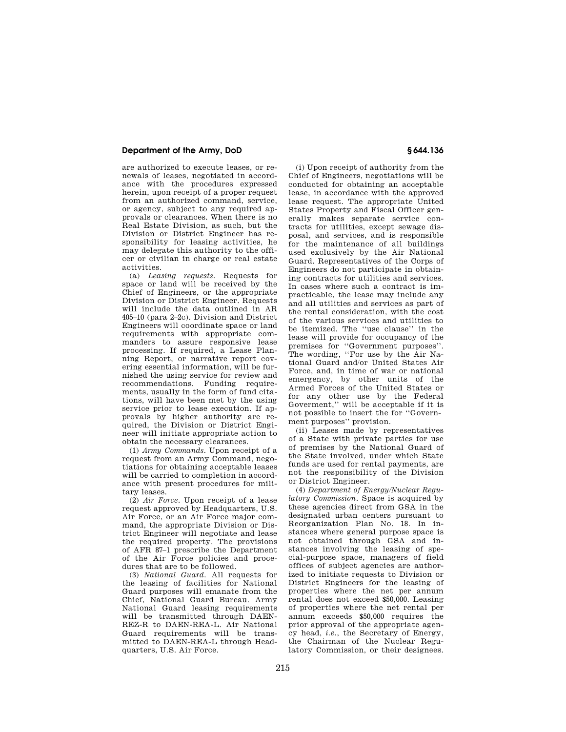## **Department of the Army, DoD § 644.136**

are authorized to execute leases, or renewals of leases, negotiated in accordance with the procedures expressed herein, upon receipt of a proper request from an authorized command, service, or agency, subject to any required approvals or clearances. When there is no Real Estate Division, as such, but the Division or District Engineer has responsibility for leasing activities, he may delegate this authority to the officer or civilian in charge or real estate activities.

(a) *Leasing requests.* Requests for space or land will be received by the Chief of Engineers, or the appropriate Division or District Engineer. Requests will include the data outlined in AR 405–10 (para 2–2c). Division and District Engineers will coordinate space or land requirements with appropriate commanders to assure responsive lease processing. If required, a Lease Planning Report, or narrative report covering essential information, will be furnished the using service for review and recommendations. Funding requirements, usually in the form of fund citations, will have been met by the using service prior to lease execution. If approvals by higher authority are required, the Division or District Engineer will initiate appropriate action to obtain the necessary clearances.

(1) *Army Commands.* Upon receipt of a request from an Army Command, negotiations for obtaining acceptable leases will be carried to completion in accordance with present procedures for military leases.

(2) *Air Force.* Upon receipt of a lease request approved by Headquarters, U.S. Air Force, or an Air Force major command, the appropriate Division or District Engineer will negotiate and lease the required property. The provisions of AFR 87–1 prescribe the Department of the Air Force policies and procedures that are to be followed.

(3) *National Guard.* All requests for the leasing of facilities for National Guard purposes will emanate from the Chief, National Guard Bureau. Army National Guard leasing requirements will be transmitted through DAEN-REZ-R to DAEN-REA-L. Air National Guard requirements will be transmitted to DAEN-REA-L through Headquarters, U.S. Air Force.

(i) Upon receipt of authority from the Chief of Engineers, negotiations will be conducted for obtaining an acceptable lease, in accordance with the approved lease request. The appropriate United States Property and Fiscal Officer generally makes separate service contracts for utilities, except sewage disposal, and services, and is responsible for the maintenance of all buildings used exclusively by the Air National Guard. Representatives of the Corps of Engineers do not participate in obtaining contracts for utilities and services. In cases where such a contract is impracticable, the lease may include any and all utilities and services as part of the rental consideration, with the cost of the various services and utilities to be itemized. The ''use clause'' in the lease will provide for occupancy of the premises for ''Government purposes''. The wording, ''For use by the Air National Guard and/or United States Air Force, and, in time of war or national emergency, by other units of the Armed Forces of the United States or for any other use by the Federal Goverment,'' will be acceptable if it is not possible to insert the for ''Government purposes'' provision.

(ii) Leases made by representatives of a State with private parties for use of premises by the National Guard of the State involved, under which State funds are used for rental payments, are not the responsibility of the Division or District Engineer.

(4) *Department of Energy/Nuclear Regulatory Commission.* Space is acquired by these agencies direct from GSA in the designated urban centers pursuant to Reorganization Plan No. 18. In instances where general purpose space is not obtained through GSA and instances involving the leasing of special-purpose space, managers of field offices of subject agencies are authorized to initiate requests to Division or District Engineers for the leasing of properties where the net per annum rental does not exceed \$50,000. Leasing of properties where the net rental per annum exceeds \$50,000 requires the prior approval of the appropriate agency head, *i.e.*, the Secretary of Energy, the Chairman of the Nuclear Regulatory Commission, or their designees.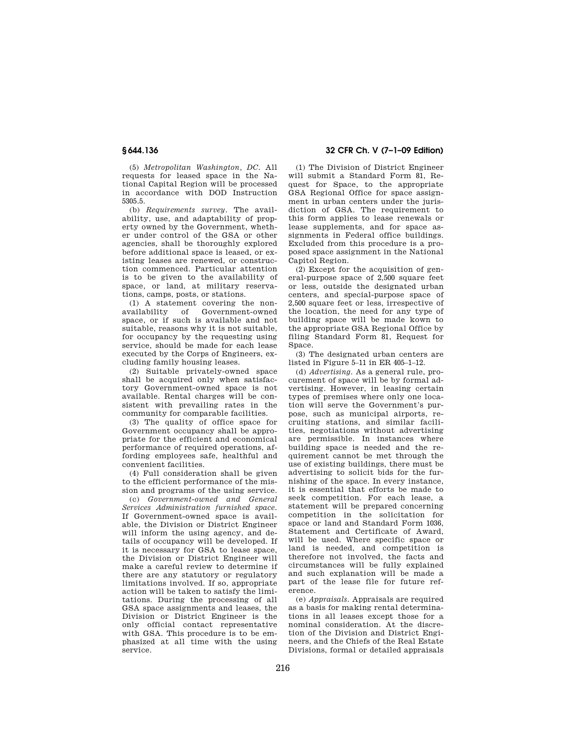(5) *Metropolitan Washington, DC.* All requests for leased space in the National Capital Region will be processed in accordance with DOD Instruction 5305.5.

(b) *Requirements survey.* The availability, use, and adaptability of property owned by the Government, whether under control of the GSA or other agencies, shall be thoroughly explored before additional space is leased, or existing leases are renewed, or construction commenced. Particular attention is to be given to the availability of space, or land, at military reservations, camps, posts, or stations.

(1) A statement covering the nonavailability of Government-owned space, or if such is available and not suitable, reasons why it is not suitable, for occupancy by the requesting using service, should be made for each lease executed by the Corps of Engineers, excluding family housing leases.

(2) Suitable privately-owned space shall be acquired only when satisfactory Government-owned space is not available. Rental charges will be consistent with prevailing rates in the community for comparable facilities.

(3) The quality of office space for Government occupancy shall be appropriate for the efficient and economical performance of required operations, affording employees safe, healthful and convenient facilities.

(4) Full consideration shall be given to the efficient performance of the mission and programs of the using service.

(c) *Government-owned and General Services Administration furnished space.*  If Government-owned space is available, the Division or District Engineer will inform the using agency, and details of occupancy will be developed. If it is necessary for GSA to lease space, the Division or District Engineer will make a careful review to determine if there are any statutory or regulatory limitations involved. If so, appropriate action will be taken to satisfy the limitations. During the processing of all GSA space assignments and leases, the Division or District Engineer is the only official contact representative with GSA. This procedure is to be emphasized at all time with the using service.

## **§ 644.136 32 CFR Ch. V (7–1–09 Edition)**

(1) The Division of District Engineer will submit a Standard Form 81, Request for Space, to the appropriate GSA Regional Office for space assignment in urban centers under the jurisdiction of GSA. The requirement to this form applies to lease renewals or lease supplements, and for space assignments in Federal office buildings. Excluded from this procedure is a proposed space assignment in the National Capitol Region.

(2) Except for the acquisition of general-purpose space of 2,500 square feet or less, outside the designated urban centers, and special-purpose space of 2,500 square feet or less, irrespective of the location, the need for any type of building space will be made kown to the appropriate GSA Regional Office by filing Standard Form 81, Request for Space.

(3) The designated urban centers are listed in Figure 5–11 in ER 405–1–12.

(d) *Advertising.* As a general rule, procurement of space will be by formal advertising. However, in leasing certain types of premises where only one location will serve the Government's purpose, such as municipal airports, recruiting stations, and similar facilities, negotiations without advertising are permissible. In instances where building space is needed and the requirement cannot be met through the use of existing buildings, there must be advertising to solicit bids for the furnishing of the space. In every instance, it is essential that efforts be made to seek competition. For each lease, a statement will be prepared concerning competition in the solicitation for space or land and Standard Form 1036, Statement and Certificate of Award, will be used. Where specific space or land is needed, and competition is therefore not involved, the facts and circumstances will be fully explained and such explanation will be made a part of the lease file for future reference.

(e) *Appraisals.* Appraisals are required as a basis for making rental determinations in all leases except those for a nominal consideration. At the discretion of the Division and District Engineers, and the Chiefs of the Real Estate Divisions, formal or detailed appraisals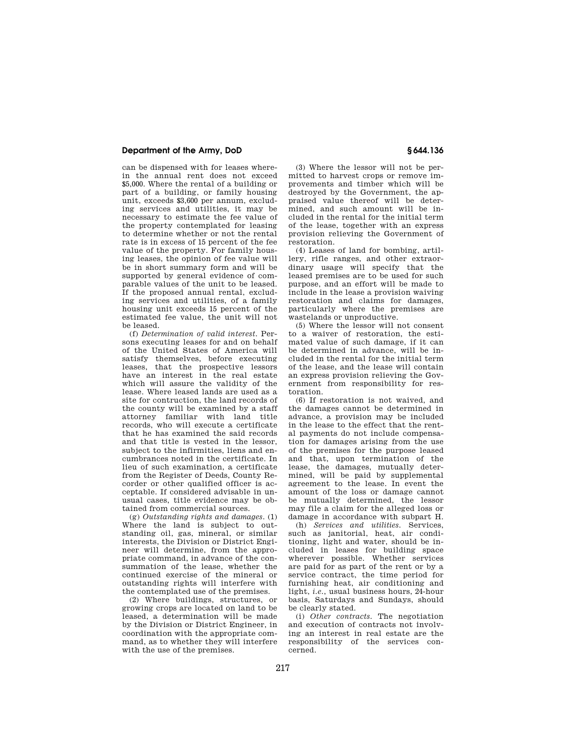### **Department of the Army, DoD § 644.136**

can be dispensed with for leases wherein the annual rent does not exceed \$5,000. Where the rental of a building or part of a building, or family housing unit, exceeds \$3,600 per annum, excluding services and utilities, it may be necessary to estimate the fee value of the property contemplated for leasing to determine whether or not the rental rate is in excess of 15 percent of the fee value of the property. For family housing leases, the opinion of fee value will be in short summary form and will be supported by general evidence of comparable values of the unit to be leased. If the proposed annual rental, excluding services and utilities, of a family housing unit exceeds 15 percent of the estimated fee value, the unit will not be leased.

(f) *Determination of valid interest.* Persons executing leases for and on behalf of the United States of America will satisfy themselves, before executing leases, that the prospective lessors have an interest in the real estate which will assure the validity of the lease. Where leased lands are used as a site for contruction, the land records of the county will be examined by a staff attorney familiar with land title records, who will execute a certificate that he has examined the said records and that title is vested in the lessor, subject to the infirmities, liens and encumbrances noted in the certificate. In lieu of such examination, a certificate from the Register of Deeds, County Recorder or other qualified officer is acceptable. If considered advisable in unusual cases, title evidence may be obtained from commercial sources.

(g) *Outstanding rights and damages.* (1) Where the land is subject to outstanding oil, gas, mineral, or similar interests, the Division or District Engineer will determine, from the appropriate command, in advance of the consummation of the lease, whether the continued exercise of the mineral or outstanding rights will interfere with the contemplated use of the premises.

(2) Where buildings, structures, or growing crops are located on land to be leased, a determination will be made by the Division or District Engineer, in coordination with the appropriate command, as to whether they will interfere with the use of the premises.

(3) Where the lessor will not be permitted to harvest crops or remove improvements and timber which will be destroyed by the Government, the appraised value thereof will be determined, and such amount will be included in the rental for the initial term of the lease, together with an express provision relieving the Government of restoration.

(4) Leases of land for bombing, artillery, rifle ranges, and other extraordinary usage will specify that the leased premises are to be used for such purpose, and an effort will be made to include in the lease a provision waiving restoration and claims for damages, particularly where the premises are wastelands or unproductive.

(5) Where the lessor will not consent to a waiver of restoration, the estimated value of such damage, if it can be determined in advance, will be included in the rental for the initial term of the lease, and the lease will contain an express provision relieving the Government from responsibility for restoration.

(6) If restoration is not waived, and the damages cannot be determined in advance, a provision may be included in the lease to the effect that the rental payments do not include compensation for damages arising from the use of the premises for the purpose leased and that, upon termination of the lease, the damages, mutually determined, will be paid by supplemental agreement to the lease. In event the amount of the loss or damage cannot be mutually determined, the lessor may file a claim for the alleged loss or damage in accordance with subpart H.

(h) *Services and utilities.* Services, such as janitorial, heat, air conditioning, light and water, should be included in leases for building space wherever possible. Whether services are paid for as part of the rent or by a service contract, the time period for furnishing heat, air conditioning and light, *i.e.*, usual business hours, 24-hour basis, Saturdays and Sundays, should be clearly stated.

(i) *Other contracts.* The negotiation and execution of contracts not involving an interest in real estate are the responsibility of the services concerned.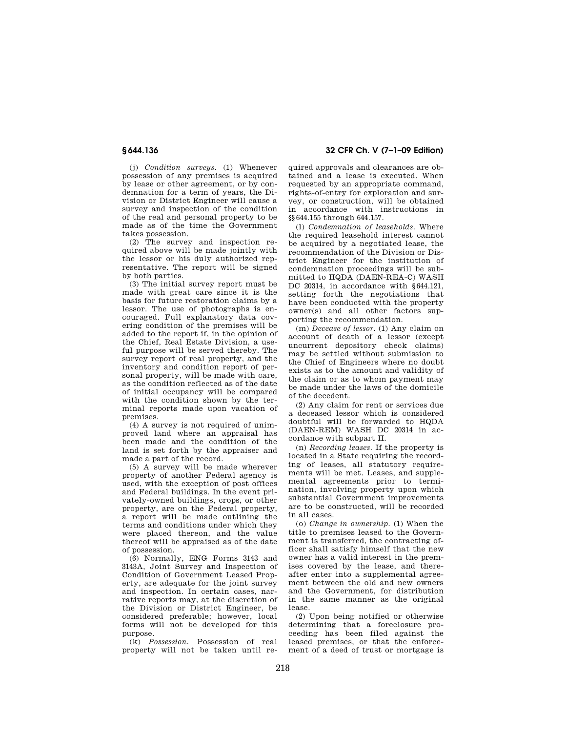(j) *Condition surveys.* (1) Whenever possession of any premises is acquired by lease or other agreement, or by condemnation for a term of years, the Division or District Engineer will cause a survey and inspection of the condition of the real and personal property to be made as of the time the Government takes possession.

(2) The survey and inspection required above will be made jointly with the lessor or his duly authorized representative. The report will be signed by both parties.

(3) The initial survey report must be made with great care since it is the basis for future restoration claims by a lessor. The use of photographs is encouraged. Full explanatory data covering condition of the premises will be added to the report if, in the opinion of the Chief, Real Estate Division, a useful purpose will be served thereby. The survey report of real property, and the inventory and condition report of personal property, will be made with care, as the condition reflected as of the date of initial occupancy will be compared with the condition shown by the terminal reports made upon vacation of premises.

(4) A survey is not required of unimproved land where an appraisal has been made and the condition of the land is set forth by the appraiser and made a part of the record.

(5) A survey will be made wherever property of another Federal agency is used, with the exception of post offices and Federal buildings. In the event privately-owned buildings, crops, or other property, are on the Federal property, a report will be made outlining the terms and conditions under which they were placed thereon, and the value thereof will be appraised as of the date of possession.

(6) Normally, ENG Forms 3143 and 3143A, Joint Survey and Inspection of Condition of Government Leased Property, are adequate for the joint survey and inspection. In certain cases, narrative reports may, at the discretion of the Division or District Engineer, be considered preferable; however, local forms will not be developed for this purpose.

(k) *Possession.* Possession of real property will not be taken until re-

## **§ 644.136 32 CFR Ch. V (7–1–09 Edition)**

quired approvals and clearances are obtained and a lease is executed. When requested by an appropriate command, rights-of-entry for exploration and survey, or construction, will be obtained in accordance with instructions in §§644.155 through 644.157.

(l) *Condemnation of leaseholds.* Where the required leasehold interest cannot be acquired by a negotiated lease, the recommendation of the Division or District Engineer for the institution of condemnation proceedings will be submitted to HQDA (DAEN-REA-C) WASH DC 20314, in accordance with §644.121, setting forth the negotiations that have been conducted with the property owner(s) and all other factors supporting the recommendation.

(m) *Decease of lessor.* (1) Any claim on account of death of a lessor (except uncurrent depository check claims) may be settled without submission to the Chief of Engineers where no doubt exists as to the amount and validity of the claim or as to whom payment may be made under the laws of the domicile of the decedent.

(2) Any claim for rent or services due a deceased lessor which is considered doubtful will be forwarded to HQDA (DAEN-REM) WASH DC 20314 in accordance with subpart H.

(n) *Recording leases.* If the property is located in a State requiring the recording of leases, all statutory requirements will be met. Leases, and supplemental agreements prior to termination, involving property upon which substantial Government improvements are to be constructed, will be recorded in all cases.

(o) *Change in ownership.* (1) When the title to premises leased to the Government is transferred, the contracting officer shall satisfy himself that the new owner has a valid interest in the premises covered by the lease, and thereafter enter into a supplemental agreement between the old and new owners and the Government, for distribution in the same manner as the original lease.

(2) Upon being notified or otherwise determining that a foreclosure proceeding has been filed against the leased premises, or that the enforcement of a deed of trust or mortgage is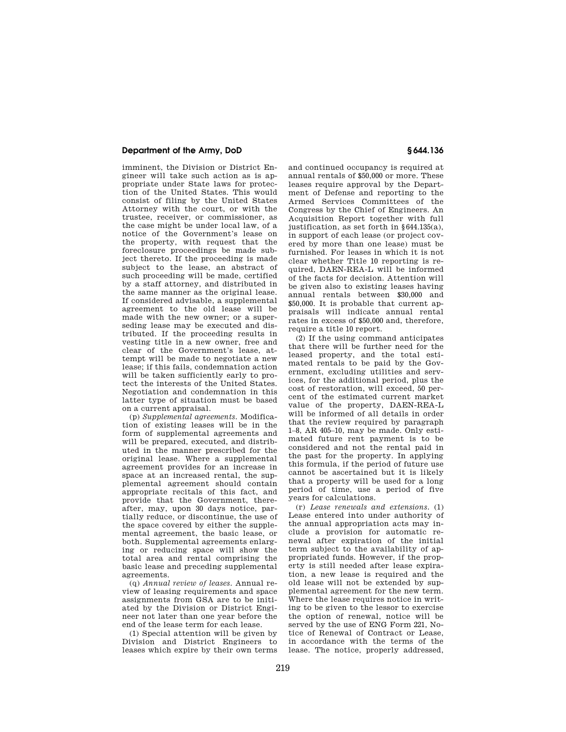### **Department of the Army, DoD § 644.136**

imminent, the Division or District Engineer will take such action as is appropriate under State laws for protection of the United States. This would consist of filing by the United States Attorney with the court, or with the trustee, receiver, or commissioner, as the case might be under local law, of a notice of the Government's lease on the property, with request that the foreclosure proceedings be made subject thereto. If the proceeding is made subject to the lease, an abstract of such proceeding will be made, certified by a staff attorney, and distributed in the same manner as the original lease. If considered advisable, a supplemental agreement to the old lease will be made with the new owner; or a superseding lease may be executed and distributed. If the proceeding results in vesting title in a new owner, free and clear of the Government's lease, attempt will be made to negotiate a new lease; if this fails, condemnation action will be taken sufficiently early to protect the interests of the United States. Negotiation and condemnation in this latter type of situation must be based on a current appraisal.

(p) *Supplemental agreements.* Modification of existing leases will be in the form of supplemental agreements and will be prepared, executed, and distributed in the manner prescribed for the original lease. Where a supplemental agreement provides for an increase in space at an increased rental, the supplemental agreement should contain appropriate recitals of this fact, and provide that the Government, thereafter, may, upon 30 days notice, partially reduce, or discontinue, the use of the space covered by either the supplemental agreement, the basic lease, or both. Supplemental agreements enlarging or reducing space will show the total area and rental comprising the basic lease and preceding supplemental agreements.

(q) *Annual review of leases.* Annual review of leasing requirements and space assignments from GSA are to be initiated by the Division or District Engineer not later than one year before the end of the lease term for each lease.

(1) Special attention will be given by Division and District Engineers to leases which expire by their own terms and continued occupancy is required at annual rentals of \$50,000 or more. These leases require approval by the Department of Defense and reporting to the Armed Services Committees of the Congress by the Chief of Engineers. An Acquisition Report together with full justification, as set forth in §644.135(a), in support of each lease (or project covered by more than one lease) must be furnished. For leases in which it is not clear whether Title 10 reporting is required, DAEN-REA-L will be informed of the facts for decision. Attention will be given also to existing leases having annual rentals between \$30,000 and \$50,000. It is probable that current appraisals will indicate annual rental rates in excess of \$50,000 and, therefore, require a title 10 report.

(2) If the using command anticipates that there will be further need for the leased property, and the total estimated rentals to be paid by the Government, excluding utilities and services, for the additional period, plus the cost of restoration, will exceed, 50 percent of the estimated current market value of the property, DAEN-REA-L will be informed of all details in order that the review required by paragraph 1–8, AR 405–10, may be made. Only estimated future rent payment is to be considered and not the rental paid in the past for the property. In applying this formula, if the period of future use cannot be ascertained but it is likely that a property will be used for a long period of time, use a period of five years for calculations.

(r) *Lease renewals and extensions.* (1) Lease entered into under authority of the annual appropriation acts may include a provision for automatic renewal after expiration of the initial term subject to the availability of appropriated funds. However, if the property is still needed after lease expiration, a new lease is required and the old lease will not be extended by supplemental agreement for the new term. Where the lease requires notice in writing to be given to the lessor to exercise the option of renewal, notice will be served by the use of ENG Form 221, Notice of Renewal of Contract or Lease, in accordance with the terms of the lease. The notice, properly addressed,